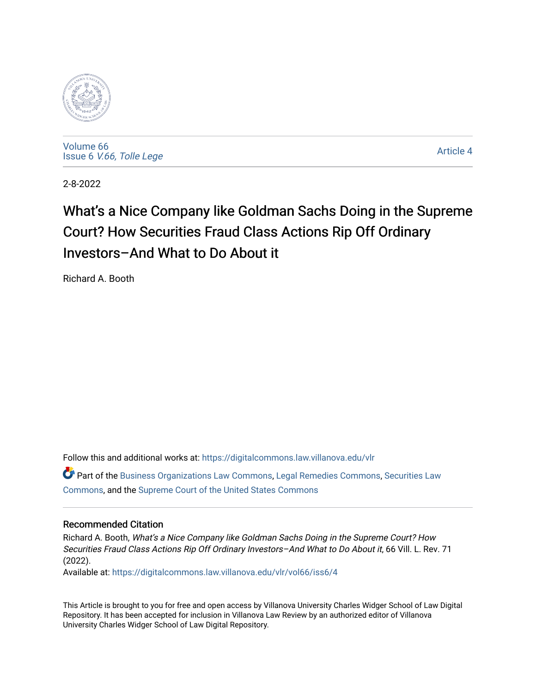

[Volume 66](https://digitalcommons.law.villanova.edu/vlr/vol66) Issue 6 [V.66, Tolle Lege](https://digitalcommons.law.villanova.edu/vlr/vol66/iss6) 

[Article 4](https://digitalcommons.law.villanova.edu/vlr/vol66/iss6/4) 

2-8-2022

# What's a Nice Company like Goldman Sachs Doing in the Supreme Court? How Securities Fraud Class Actions Rip Off Ordinary Investors–And What to Do About it

Richard A. Booth

Follow this and additional works at: [https://digitalcommons.law.villanova.edu/vlr](https://digitalcommons.law.villanova.edu/vlr?utm_source=digitalcommons.law.villanova.edu%2Fvlr%2Fvol66%2Fiss6%2F4&utm_medium=PDF&utm_campaign=PDFCoverPages)

Part of the [Business Organizations Law Commons](http://network.bepress.com/hgg/discipline/900?utm_source=digitalcommons.law.villanova.edu%2Fvlr%2Fvol66%2Fiss6%2F4&utm_medium=PDF&utm_campaign=PDFCoverPages), [Legal Remedies Commons,](http://network.bepress.com/hgg/discipline/618?utm_source=digitalcommons.law.villanova.edu%2Fvlr%2Fvol66%2Fiss6%2F4&utm_medium=PDF&utm_campaign=PDFCoverPages) [Securities Law](http://network.bepress.com/hgg/discipline/619?utm_source=digitalcommons.law.villanova.edu%2Fvlr%2Fvol66%2Fiss6%2F4&utm_medium=PDF&utm_campaign=PDFCoverPages) [Commons](http://network.bepress.com/hgg/discipline/619?utm_source=digitalcommons.law.villanova.edu%2Fvlr%2Fvol66%2Fiss6%2F4&utm_medium=PDF&utm_campaign=PDFCoverPages), and the [Supreme Court of the United States Commons](http://network.bepress.com/hgg/discipline/1350?utm_source=digitalcommons.law.villanova.edu%2Fvlr%2Fvol66%2Fiss6%2F4&utm_medium=PDF&utm_campaign=PDFCoverPages) 

# Recommended Citation

Richard A. Booth, What's a Nice Company like Goldman Sachs Doing in the Supreme Court? How Securities Fraud Class Actions Rip Off Ordinary Investors–And What to Do About it, 66 Vill. L. Rev. 71 (2022).

Available at: [https://digitalcommons.law.villanova.edu/vlr/vol66/iss6/4](https://digitalcommons.law.villanova.edu/vlr/vol66/iss6/4?utm_source=digitalcommons.law.villanova.edu%2Fvlr%2Fvol66%2Fiss6%2F4&utm_medium=PDF&utm_campaign=PDFCoverPages) 

This Article is brought to you for free and open access by Villanova University Charles Widger School of Law Digital Repository. It has been accepted for inclusion in Villanova Law Review by an authorized editor of Villanova University Charles Widger School of Law Digital Repository.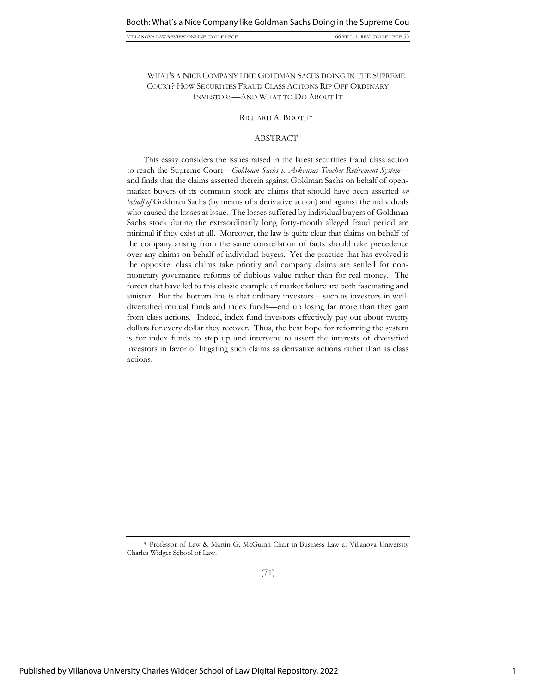#### WHAT'S A NICE COMPANY LIKE GOLDMAN SACHS DOING IN THE SUPREME COURT? HOW SECURITIES FRAUD CLASS ACTIONS RIP OFF ORDINARY INVESTORS—AND WHAT TO DO ABOUT IT

RICHARD A. BOOTH\*

#### ABSTRACT

This essay considers the issues raised in the latest securities fraud class action to reach the Supreme Court—*Goldman Sachs v. Arkansas Teacher Retirement System* and finds that the claims asserted therein against Goldman Sachs on behalf of openmarket buyers of its common stock are claims that should have been asserted *on behalf of* Goldman Sachs (by means of a derivative action) and against the individuals who caused the losses at issue. The losses suffered by individual buyers of Goldman Sachs stock during the extraordinarily long forty-month alleged fraud period are minimal if they exist at all. Moreover, the law is quite clear that claims on behalf of the company arising from the same constellation of facts should take precedence over any claims on behalf of individual buyers. Yet the practice that has evolved is the opposite: class claims take priority and company claims are settled for nonmonetary governance reforms of dubious value rather than for real money. The forces that have led to this classic example of market failure are both fascinating and sinister. But the bottom line is that ordinary investors—such as investors in welldiversified mutual funds and index funds—end up losing far more than they gain from class actions. Indeed, index fund investors effectively pay out about twenty dollars for every dollar they recover. Thus, the best hope for reforming the system is for index funds to step up and intervene to assert the interests of diversified investors in favor of litigating such claims as derivative actions rather than as class actions.

<sup>\*</sup> Professor of Law & Martin G. McGuinn Chair in Business Law at Villanova University Charles Widger School of Law.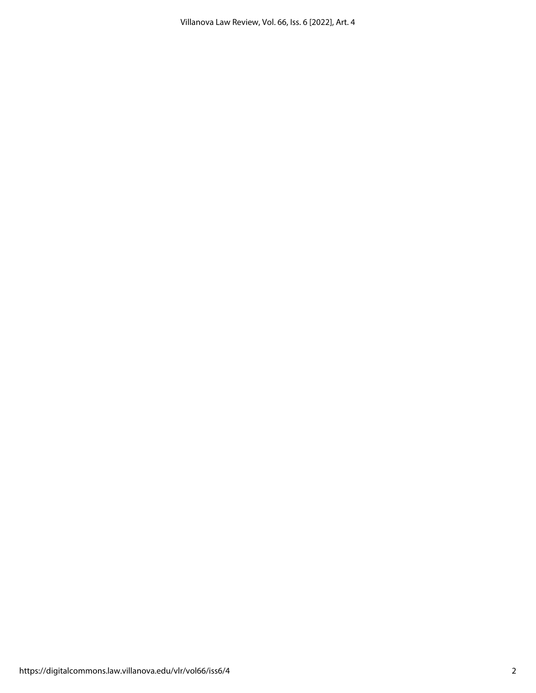Villanova Law Review, Vol. 66, Iss. 6 [2022], Art. 4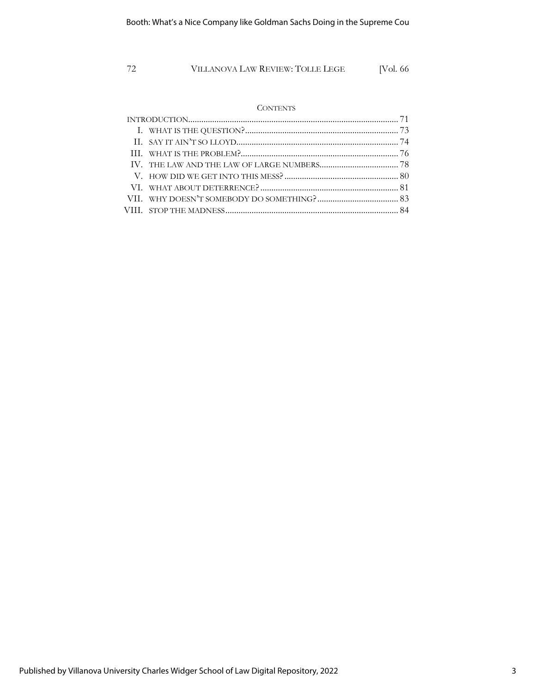#### **CONTENTS**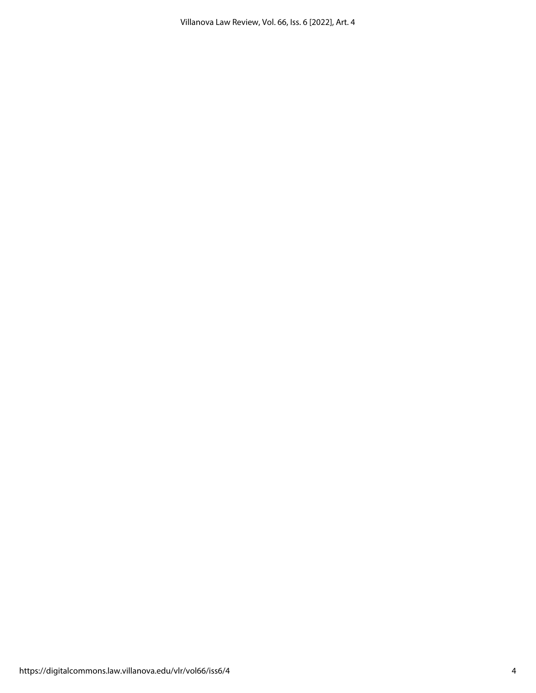Villanova Law Review, Vol. 66, Iss. 6 [2022], Art. 4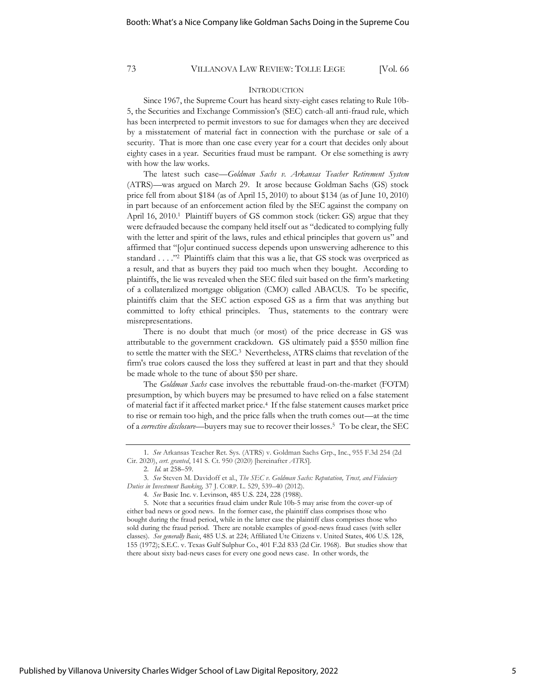#### **INTRODUCTION**

Since 1967, the Supreme Court has heard sixty-eight cases relating to Rule 10b-5, the Securities and Exchange Commission's (SEC) catch-all anti-fraud rule, which has been interpreted to permit investors to sue for damages when they are deceived by a misstatement of material fact in connection with the purchase or sale of a security. That is more than one case every year for a court that decides only about eighty cases in a year. Securities fraud must be rampant. Or else something is awry with how the law works.

The latest such case—*Goldman Sachs v. Arkansas Teacher Retirement System* (ATRS)—was argued on March 29. It arose because Goldman Sachs (GS) stock price fell from about \$184 (as of April 15, 2010) to about \$134 (as of June 10, 2010) in part because of an enforcement action filed by the SEC against the company on April 16, 2010.<sup>1</sup> Plaintiff buyers of GS common stock (ticker: GS) argue that they were defrauded because the company held itself out as "dedicated to complying fully with the letter and spirit of the laws, rules and ethical principles that govern us" and affirmed that "[o]ur continued success depends upon unswerving adherence to this standard . . . ."<sup>2</sup> Plaintiffs claim that this was a lie, that GS stock was overpriced as a result, and that as buyers they paid too much when they bought. According to plaintiffs, the lie was revealed when the SEC filed suit based on the firm's marketing of a collateralized mortgage obligation (CMO) called ABACUS. To be specific, plaintiffs claim that the SEC action exposed GS as a firm that was anything but committed to lofty ethical principles. Thus, statements to the contrary were misrepresentations.

There is no doubt that much (or most) of the price decrease in GS was attributable to the government crackdown. GS ultimately paid a \$550 million fine to settle the matter with the SEC.<sup>3</sup> Nevertheless, ATRS claims that revelation of the firm's true colors caused the loss they suffered at least in part and that they should be made whole to the tune of about \$50 per share.

The *Goldman Sachs* case involves the rebuttable fraud-on-the-market (FOTM) presumption, by which buyers may be presumed to have relied on a false statement of material fact if it affected market price.<sup>4</sup> If the false statement causes market price to rise or remain too high, and the price falls when the truth comes out—at the time of a *corrective disclosure*—buyers may sue to recover their losses.<sup>5</sup> To be clear, the SEC

2. *Id.* at 258–59.

<sup>1.</sup> *See* Arkansas Teacher Ret. Sys. (ATRS) v. Goldman Sachs Grp., Inc., 955 F.3d 254 (2d Cir. 2020), *cert. granted*, 141 S. Ct. 950 (2020) [hereinafter *ATRS*].

<sup>3.</sup> *See* Steven M. Davidoff et al., *The SEC v. Goldman Sachs: Reputation, Trust, and Fiduciary Duties in Investment Banking,* 37 J. CORP. L. 529, 539–40 (2012).

<sup>4.</sup> *See* Basic Inc. v. Levinson, 485 U.S. 224, 228 (1988).

<sup>5.</sup> Note that a securities fraud claim under Rule 10b-5 may arise from the cover-up of either bad news or good news. In the former case, the plaintiff class comprises those who bought during the fraud period, while in the latter case the plaintiff class comprises those who sold during the fraud period. There are notable examples of good-news fraud cases (with seller classes). *See generally Basic*, 485 U.S. at 224; Affiliated Ute Citizens v. United States, 406 U.S. 128, 155 (1972); S.E.C. v. Texas Gulf Sulphur Co., 401 F.2d 833 (2d Cir. 1968). But studies show that there about sixty bad-news cases for every one good news case. In other words, the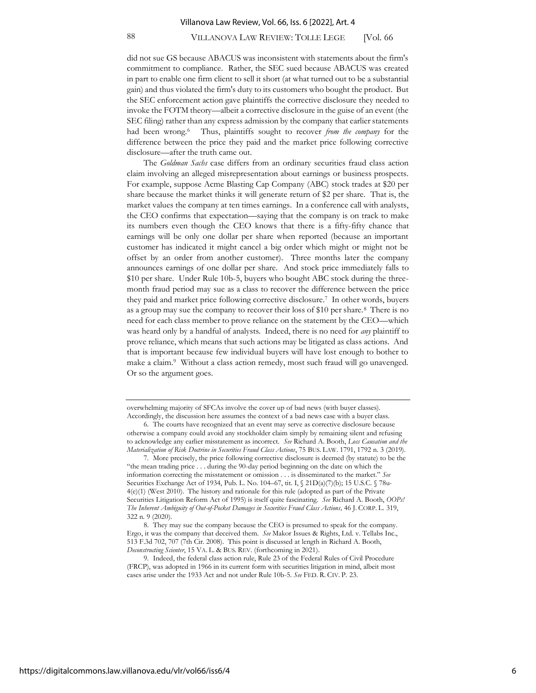did not sue GS because ABACUS was inconsistent with statements about the firm's commitment to compliance. Rather, the SEC sued because ABACUS was created in part to enable one firm client to sell it short (at what turned out to be a substantial gain) and thus violated the firm's duty to its customers who bought the product. But the SEC enforcement action gave plaintiffs the corrective disclosure they needed to invoke the FOTM theory—albeit a corrective disclosure in the guise of an event (the SEC filing) rather than any express admission by the company that earlier statements had been wrong.<sup>6</sup> Thus, plaintiffs sought to recover *from the company* for the difference between the price they paid and the market price following corrective disclosure—after the truth came out.

The *Goldman Sachs* case differs from an ordinary securities fraud class action claim involving an alleged misrepresentation about earnings or business prospects. For example, suppose Acme Blasting Cap Company (ABC) stock trades at \$20 per share because the market thinks it will generate return of \$2 per share. That is, the market values the company at ten times earnings. In a conference call with analysts, the CEO confirms that expectation—saying that the company is on track to make its numbers even though the CEO knows that there is a fifty-fifty chance that earnings will be only one dollar per share when reported (because an important customer has indicated it might cancel a big order which might or might not be offset by an order from another customer). Three months later the company announces earnings of one dollar per share. And stock price immediately falls to \$10 per share. Under Rule 10b-5, buyers who bought ABC stock during the threemonth fraud period may sue as a class to recover the difference between the price they paid and market price following corrective disclosure.<sup>7</sup> In other words, buyers as a group may sue the company to recover their loss of \$10 per share.<sup>8</sup> There is no need for each class member to prove reliance on the statement by the CEO—which was heard only by a handful of analysts. Indeed, there is no need for *any* plaintiff to prove reliance, which means that such actions may be litigated as class actions. And that is important because few individual buyers will have lost enough to bother to make a claim.<sup>9</sup> Without a class action remedy, most such fraud will go unavenged. Or so the argument goes.

9. Indeed, the federal class action rule, Rule 23 of the Federal Rules of Civil Procedure (FRCP), was adopted in 1966 in its current form with securities litigation in mind, albeit most cases arise under the 1933 Act and not under Rule 10b-5. *See* FED. R. CIV. P. 23.

overwhelming majority of SFCAs involve the cover up of bad news (with buyer classes). Accordingly, the discussion here assumes the context of a bad news case with a buyer class.

<sup>6.</sup> The courts have recognized that an event may serve as corrective disclosure because otherwise a company could avoid any stockholder claim simply by remaining silent and refusing to acknowledge any earlier misstatement as incorrect. *See* Richard A. Booth, *Loss Causation and the Materialization of Risk Doctrine in Securities Fraud Class Actions*, 75 BUS. LAW. 1791, 1792 n. 3 (2019).

<sup>7.</sup> More precisely, the price following corrective disclosure is deemed (by statute) to be the "the mean trading price . . . during the 90-day period beginning on the date on which the information correcting the misstatement or omission . . . is disseminated to the market." *See*  Securities Exchange Act of 1934, Pub. L. No. 104–67, tit. I, § 21D(a)(7)(b); 15 U.S.C. § 78u-4(e)(1) (West 2010). The history and rationale for this rule (adopted as part of the Private Securities Litigation Reform Act of 1995) is itself quite fascinating. *See* Richard A. Booth, *OOPs! The Inherent Ambiguity of Out-of-Pocket Damages in Securities Fraud Class Actions,* 46 J. CORP. L. 319, 322 n. 9 (2020).

<sup>8.</sup> They may sue the company because the CEO is presumed to speak for the company. Ergo, it was the company that deceived them. *See* Makor Issues & Rights, Ltd. v. Tellabs Inc., 513 F.3d 702, 707 (7th Cir. 2008). This point is discussed at length in Richard A. Booth, *Deconstructing Scienter*, 15 VA. L. & BUS. REV. (forthcoming in 2021).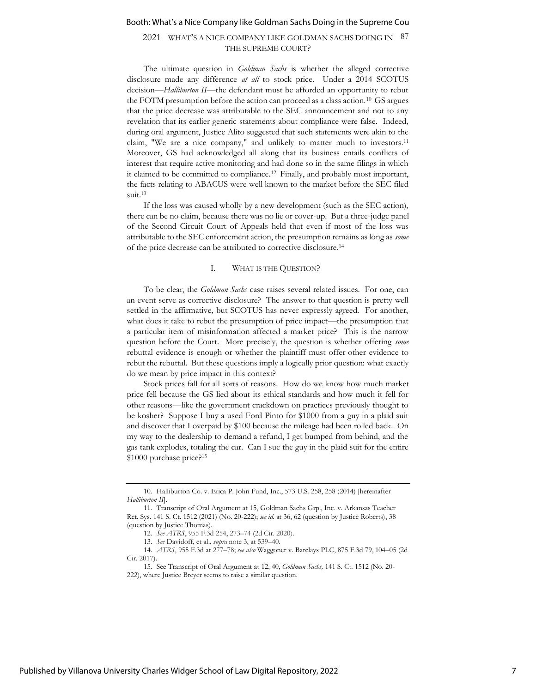# 2021 WHAT'S A NICE COMPANY LIKE GOLDMAN SACHS DOING IN 87 THE SUPREME COURT?

The ultimate question in *Goldman Sachs* is whether the alleged corrective disclosure made any difference *at all* to stock price. Under a 2014 SCOTUS decision—*Halliburton II*—the defendant must be afforded an opportunity to rebut the FOTM presumption before the action can proceed as a class action.<sup>10</sup> GS argues that the price decrease was attributable to the SEC announcement and not to any revelation that its earlier generic statements about compliance were false. Indeed, during oral argument, Justice Alito suggested that such statements were akin to the claim, "We are a nice company," and unlikely to matter much to investors.<sup>11</sup> Moreover, GS had acknowledged all along that its business entails conflicts of interest that require active monitoring and had done so in the same filings in which it claimed to be committed to compliance.<sup>12</sup> Finally, and probably most important, the facts relating to ABACUS were well known to the market before the SEC filed suit.<sup>13</sup>

If the loss was caused wholly by a new development (such as the SEC action), there can be no claim, because there was no lie or cover-up. But a three-judge panel of the Second Circuit Court of Appeals held that even if most of the loss was attributable to the SEC enforcement action, the presumption remains as long as *some* of the price decrease can be attributed to corrective disclosure.<sup>14</sup>

#### I. WHAT IS THE QUESTION?

To be clear, the *Goldman Sachs* case raises several related issues. For one, can an event serve as corrective disclosure? The answer to that question is pretty well settled in the affirmative, but SCOTUS has never expressly agreed. For another, what does it take to rebut the presumption of price impact—the presumption that a particular item of misinformation affected a market price? This is the narrow question before the Court. More precisely, the question is whether offering *some* rebuttal evidence is enough or whether the plaintiff must offer other evidence to rebut the rebuttal. But these questions imply a logically prior question: what exactly do we mean by price impact in this context?

Stock prices fall for all sorts of reasons. How do we know how much market price fell because the GS lied about its ethical standards and how much it fell for other reasons—like the government crackdown on practices previously thought to be kosher? Suppose I buy a used Ford Pinto for \$1000 from a guy in a plaid suit and discover that I overpaid by \$100 because the mileage had been rolled back. On my way to the dealership to demand a refund, I get bumped from behind, and the gas tank explodes, totaling the car. Can I sue the guy in the plaid suit for the entire \$1000 purchase price?<sup>15</sup>

<sup>10.</sup> Halliburton Co. v. Erica P. John Fund, Inc., 573 U.S. 258, 258 (2014) [hereinafter *Halliburton II*].

<sup>11.</sup> Transcript of Oral Argument at 15, Goldman Sachs Grp., Inc. v. Arkansas Teacher Ret. Sys. 141 S. Ct. 1512 (2021) (No. 20-222); *see id.* at 36, 62 (question by Justice Roberts), 38 (question by Justice Thomas).

<sup>12.</sup> *See ATRS*, 955 F.3d 254, 273–74 (2d Cir. 2020).

<sup>13.</sup> *See* Davidoff, et al., *supra* note 3, at 539–40.

<sup>14.</sup> *ATRS*, 955 F.3d at 277–78; *see also* Waggoner v. Barclays PLC, 875 F.3d 79, 104–05 (2d Cir. 2017).

<sup>15.</sup> See Transcript of Oral Argument at 12, 40, *Goldman Sachs,* 141 S. Ct. 1512 (No. 20- 222), where Justice Breyer seems to raise a similar question.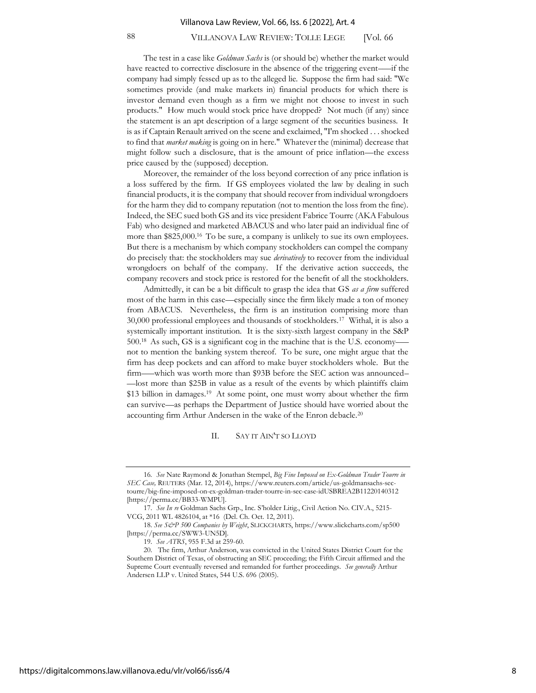The test in a case like *Goldman Sachs* is (or should be) whether the market would have reacted to corrective disclosure in the absence of the triggering event–—if the company had simply fessed up as to the alleged lie. Suppose the firm had said: "We sometimes provide (and make markets in) financial products for which there is investor demand even though as a firm we might not choose to invest in such products." How much would stock price have dropped? Not much (if any) since the statement is an apt description of a large segment of the securities business. It is as if Captain Renault arrived on the scene and exclaimed, "I'm shocked . . . shocked to find that *market making* is going on in here." Whatever the (minimal) decrease that might follow such a disclosure, that is the amount of price inflation—the excess price caused by the (supposed) deception.

Moreover, the remainder of the loss beyond correction of any price inflation is a loss suffered by the firm. If GS employees violated the law by dealing in such financial products, it is the company that should recover from individual wrongdoers for the harm they did to company reputation (not to mention the loss from the fine). Indeed, the SEC sued both GS and its vice president Fabrice Tourre (AKA Fabulous Fab) who designed and marketed ABACUS and who later paid an individual fine of more than \$825,000.<sup>16</sup> To be sure, a company is unlikely to sue its own employees. But there is a mechanism by which company stockholders can compel the company do precisely that: the stockholders may sue *derivatively* to recover from the individual wrongdoers on behalf of the company. If the derivative action succeeds, the company recovers and stock price is restored for the benefit of all the stockholders.

Admittedly, it can be a bit difficult to grasp the idea that GS *as a firm* suffered most of the harm in this case—especially since the firm likely made a ton of money from ABACUS. Nevertheless, the firm is an institution comprising more than 30,000 professional employees and thousands of stockholders.<sup>17</sup> Withal, it is also a systemically important institution. It is the sixty-sixth largest company in the S&P 500.<sup>18</sup> As such, GS is a significant cog in the machine that is the U.S. economynot to mention the banking system thereof. To be sure, one might argue that the firm has deep pockets and can afford to make buyer stockholders whole. But the firm–—which was worth more than \$93B before the SEC action was announced– —lost more than \$25B in value as a result of the events by which plaintiffs claim \$13 billion in damages.<sup>19</sup> At some point, one must worry about whether the firm can survive—as perhaps the Department of Justice should have worried about the accounting firm Arthur Andersen in the wake of the Enron debacle.<sup>20</sup>

#### II. SAY IT AIN'T SO LLOYD

<sup>16</sup>*. See* Nate [Raymond](https://www.reuters.com/journalists/nate-raymond) & Jonathan Stempel, *Big Fine Imposed on Ex-Goldman Trader Tourre in SEC Case,* REUTERS (Mar. 12, 2014), https://www.reuters.com/article/us-goldmansachs-sectourre/big-fine-imposed-on-ex-goldman-trader-tourre-in-sec-case-idUSBREA2B11220140312 [https://perma.cc/BB33-WMPU].

<sup>17.</sup> *See In re* Goldman Sachs Grp., Inc. S'holder Litig., Civil Action No. CIV.A., 5215- VCG, 2011 WL 4826104, at \*16 (Del. Ch. Oct. 12, 2011).

<sup>18.</sup> See S&P 500 Companies by Weight, SLICKCHARTS, https://www.slickcharts.com/sp500 [https://perma.cc/SWW3-UN5D].

<sup>19.</sup> *See ATRS*, 955 F.3d at 259-60.

<sup>20.</sup> The firm, Arthur Anderson, was convicted in the United States District Court for the Southern District of Texas, of obstructing an SEC proceeding; the Fifth Circuit affirmed and the Supreme Court eventually reversed and remanded for further proceedings. *See generally* Arthur Andersen LLP v. United States, 544 U.S. 696 (2005).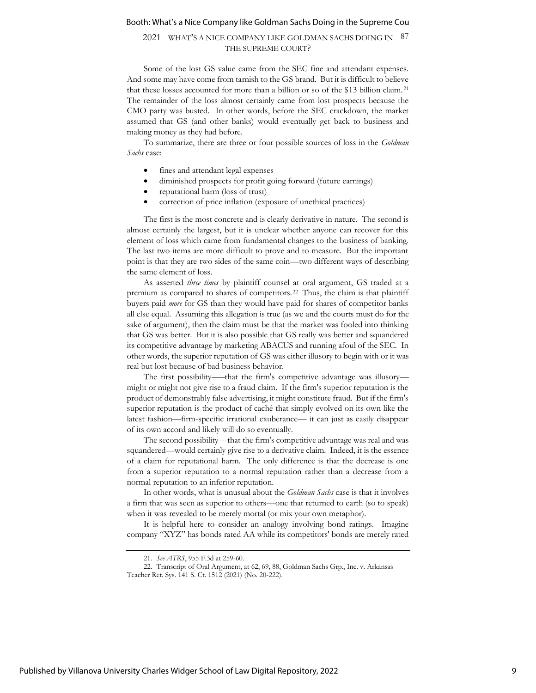# 2021 WHAT'S A NICE COMPANY LIKE GOLDMAN SACHS DOING IN 87 THE SUPREME COURT?

Some of the lost GS value came from the SEC fine and attendant expenses. And some may have come from tarnish to the GS brand. But it is difficult to believe that these losses accounted for more than a billion or so of the \$13 billion claim. <sup>21</sup> The remainder of the loss almost certainly came from lost prospects because the CMO party was busted. In other words, before the SEC crackdown, the market assumed that GS (and other banks) would eventually get back to business and making money as they had before.

To summarize, there are three or four possible sources of loss in the *Goldman Sachs* case:

- fines and attendant legal expenses
- diminished prospects for profit going forward (future earnings)
- reputational harm (loss of trust)
- correction of price inflation (exposure of unethical practices)

The first is the most concrete and is clearly derivative in nature. The second is almost certainly the largest, but it is unclear whether anyone can recover for this element of loss which came from fundamental changes to the business of banking. The last two items are more difficult to prove and to measure. But the important point is that they are two sides of the same coin—two different ways of describing the same element of loss.

As asserted *three times* by plaintiff counsel at oral argument, GS traded at a premium as compared to shares of competitors.<sup>22</sup> Thus, the claim is that plaintiff buyers paid *more* for GS than they would have paid for shares of competitor banks all else equal. Assuming this allegation is true (as we and the courts must do for the sake of argument), then the claim must be that the market was fooled into thinking that GS was better. But it is also possible that GS really was better and squandered its competitive advantage by marketing ABACUS and running afoul of the SEC. In other words, the superior reputation of GS was either illusory to begin with or it was real but lost because of bad business behavior.

The first possibility——that the firm's competitive advantage was illusory might or might not give rise to a fraud claim. If the firm's superior reputation is the product of demonstrably false advertising, it might constitute fraud. But if the firm's superior reputation is the product of caché that simply evolved on its own like the latest fashion—firm-specific irrational exuberance— it can just as easily disappear of its own accord and likely will do so eventually.

The second possibility—that the firm's competitive advantage was real and was squandered—would certainly give rise to a derivative claim. Indeed, it is the essence of a claim for reputational harm. The only difference is that the decrease is one from a superior reputation to a normal reputation rather than a decrease from a normal reputation to an inferior reputation.

In other words, what is unusual about the *Goldman Sachs* case is that it involves a firm that was seen as superior to others—one that returned to earth (so to speak) when it was revealed to be merely mortal (or mix your own metaphor).

It is helpful here to consider an analogy involving bond ratings. Imagine company "XYZ" has bonds rated AA while its competitors' bonds are merely rated

<sup>21.</sup> *See ATRS*, 955 F.3d at 259-60.

<sup>22.</sup> Transcript of Oral Argument, at 62, 69, 88, Goldman Sachs Grp., Inc. v. Arkansas Teacher Ret. Sys. 141 S. Ct. 1512 (2021) (No. 20-222).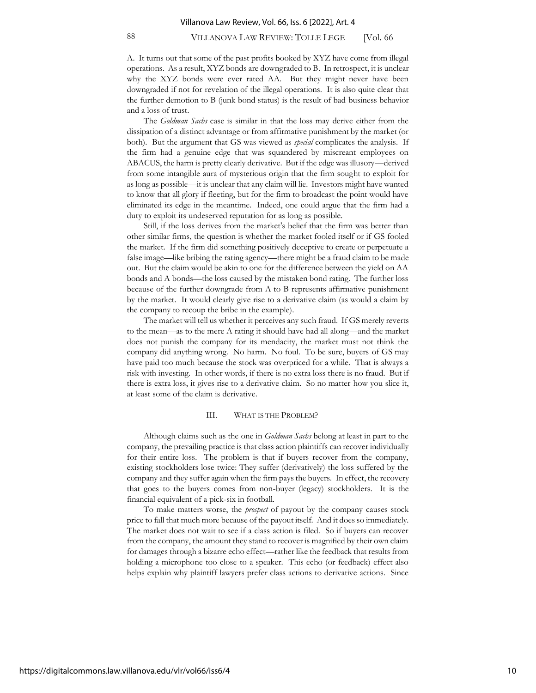A. It turns out that some of the past profits booked by XYZ have come from illegal operations. As a result, XYZ bonds are downgraded to B. In retrospect, it is unclear why the XYZ bonds were ever rated AA. But they might never have been downgraded if not for revelation of the illegal operations. It is also quite clear that the further demotion to B (junk bond status) is the result of bad business behavior and a loss of trust.

The *Goldman Sachs* case is similar in that the loss may derive either from the dissipation of a distinct advantage or from affirmative punishment by the market (or both). But the argument that GS was viewed as *special* complicates the analysis. If the firm had a genuine edge that was squandered by miscreant employees on ABACUS, the harm is pretty clearly derivative. But if the edge was illusory—derived from some intangible aura of mysterious origin that the firm sought to exploit for as long as possible—it is unclear that any claim will lie. Investors might have wanted to know that all glory if fleeting, but for the firm to broadcast the point would have eliminated its edge in the meantime. Indeed, one could argue that the firm had a duty to exploit its undeserved reputation for as long as possible.

Still, if the loss derives from the market's belief that the firm was better than other similar firms, the question is whether the market fooled itself or if GS fooled the market. If the firm did something positively deceptive to create or perpetuate a false image—like bribing the rating agency—there might be a fraud claim to be made out. But the claim would be akin to one for the difference between the yield on AA bonds and A bonds—the loss caused by the mistaken bond rating. The further loss because of the further downgrade from A to B represents affirmative punishment by the market. It would clearly give rise to a derivative claim (as would a claim by the company to recoup the bribe in the example).

The market will tell us whether it perceives any such fraud. If GS merely reverts to the mean—as to the mere A rating it should have had all along—and the market does not punish the company for its mendacity, the market must not think the company did anything wrong. No harm. No foul. To be sure, buyers of GS may have paid too much because the stock was overpriced for a while. That is always a risk with investing. In other words, if there is no extra loss there is no fraud. But if there is extra loss, it gives rise to a derivative claim. So no matter how you slice it, at least some of the claim is derivative.

#### III. WHAT IS THE PROBLEM?

Although claims such as the one in *Goldman Sachs* belong at least in part to the company, the prevailing practice is that class action plaintiffs can recover individually for their entire loss. The problem is that if buyers recover from the company, existing stockholders lose twice: They suffer (derivatively) the loss suffered by the company and they suffer again when the firm pays the buyers. In effect, the recovery that goes to the buyers comes from non-buyer (legacy) stockholders. It is the financial equivalent of a pick-six in football.

To make matters worse, the *prospect* of payout by the company causes stock price to fall that much more because of the payout itself. And it does so immediately. The market does not wait to see if a class action is filed. So if buyers can recover from the company, the amount they stand to recover is magnified by their own claim for damages through a bizarre echo effect—rather like the feedback that results from holding a microphone too close to a speaker. This echo (or feedback) effect also helps explain why plaintiff lawyers prefer class actions to derivative actions. Since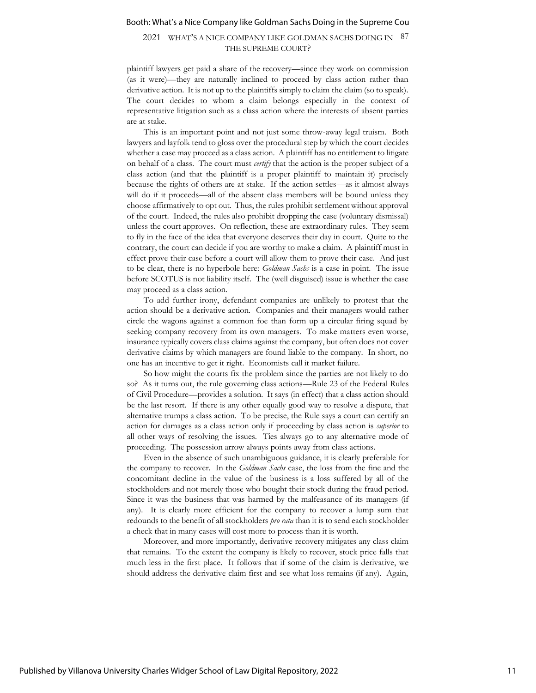# 2021 WHAT'S A NICE COMPANY LIKE GOLDMAN SACHS DOING IN 87 THE SUPREME COURT?

plaintiff lawyers get paid a share of the recovery—since they work on commission (as it were)—they are naturally inclined to proceed by class action rather than derivative action. It is not up to the plaintiffs simply to claim the claim (so to speak). The court decides to whom a claim belongs especially in the context of representative litigation such as a class action where the interests of absent parties are at stake.

This is an important point and not just some throw-away legal truism. Both lawyers and layfolk tend to gloss over the procedural step by which the court decides whether a case may proceed as a class action. A plaintiff has no entitlement to litigate on behalf of a class. The court must *certify* that the action is the proper subject of a class action (and that the plaintiff is a proper plaintiff to maintain it) precisely because the rights of others are at stake. If the action settles—as it almost always will do if it proceeds—all of the absent class members will be bound unless they choose affirmatively to opt out. Thus, the rules prohibit settlement without approval of the court. Indeed, the rules also prohibit dropping the case (voluntary dismissal) unless the court approves. On reflection, these are extraordinary rules. They seem to fly in the face of the idea that everyone deserves their day in court. Quite to the contrary, the court can decide if you are worthy to make a claim. A plaintiff must in effect prove their case before a court will allow them to prove their case. And just to be clear, there is no hyperbole here: *Goldman Sachs* is a case in point. The issue before SCOTUS is not liability itself. The (well disguised) issue is whether the case may proceed as a class action.

To add further irony, defendant companies are unlikely to protest that the action should be a derivative action. Companies and their managers would rather circle the wagons against a common foe than form up a circular firing squad by seeking company recovery from its own managers. To make matters even worse, insurance typically covers class claims against the company, but often does not cover derivative claims by which managers are found liable to the company. In short, no one has an incentive to get it right. Economists call it market failure.

So how might the courts fix the problem since the parties are not likely to do so? As it turns out, the rule governing class actions—Rule 23 of the Federal Rules of Civil Procedure—provides a solution. It says (in effect) that a class action should be the last resort. If there is any other equally good way to resolve a dispute, that alternative trumps a class action. To be precise, the Rule says a court can certify an action for damages as a class action only if proceeding by class action is *superior* to all other ways of resolving the issues. Ties always go to any alternative mode of proceeding. The possession arrow always points away from class actions.

Even in the absence of such unambiguous guidance, it is clearly preferable for the company to recover. In the *Goldman Sachs* case, the loss from the fine and the concomitant decline in the value of the business is a loss suffered by all of the stockholders and not merely those who bought their stock during the fraud period. Since it was the business that was harmed by the malfeasance of its managers (if any). It is clearly more efficient for the company to recover a lump sum that redounds to the benefit of all stockholders *pro rata* than it is to send each stockholder a check that in many cases will cost more to process than it is worth.

Moreover, and more importantly, derivative recovery mitigates any class claim that remains. To the extent the company is likely to recover, stock price falls that much less in the first place. It follows that if some of the claim is derivative, we should address the derivative claim first and see what loss remains (if any). Again,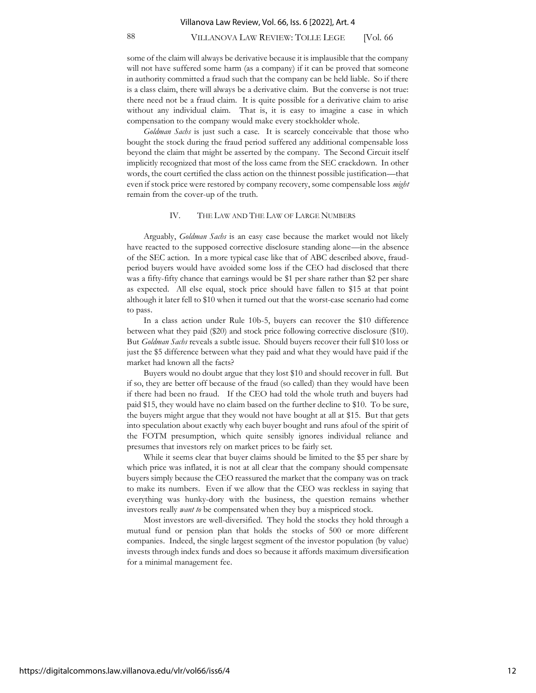some of the claim will always be derivative because it is implausible that the company will not have suffered some harm (as a company) if it can be proved that someone in authority committed a fraud such that the company can be held liable. So if there is a class claim, there will always be a derivative claim. But the converse is not true: there need not be a fraud claim. It is quite possible for a derivative claim to arise without any individual claim. That is, it is easy to imagine a case in which compensation to the company would make every stockholder whole.

*Goldman Sachs* is just such a case. It is scarcely conceivable that those who bought the stock during the fraud period suffered any additional compensable loss beyond the claim that might be asserted by the company. The Second Circuit itself implicitly recognized that most of the loss came from the SEC crackdown. In other words, the court certified the class action on the thinnest possible justification—that even if stock price were restored by company recovery, some compensable loss *might* remain from the cover-up of the truth.

#### IV. THE LAW AND THE LAW OF LARGE NUMBERS

Arguably, *Goldman Sachs* is an easy case because the market would not likely have reacted to the supposed corrective disclosure standing alone—in the absence of the SEC action. In a more typical case like that of ABC described above, fraudperiod buyers would have avoided some loss if the CEO had disclosed that there was a fifty-fifty chance that earnings would be \$1 per share rather than \$2 per share as expected. All else equal, stock price should have fallen to \$15 at that point although it later fell to \$10 when it turned out that the worst-case scenario had come to pass.

In a class action under Rule 10b-5, buyers can recover the \$10 difference between what they paid (\$20) and stock price following corrective disclosure (\$10). But *Goldman Sachs* reveals a subtle issue. Should buyers recover their full \$10 loss or just the \$5 difference between what they paid and what they would have paid if the market had known all the facts?

Buyers would no doubt argue that they lost \$10 and should recover in full. But if so, they are better off because of the fraud (so called) than they would have been if there had been no fraud. If the CEO had told the whole truth and buyers had paid \$15, they would have no claim based on the further decline to \$10. To be sure, the buyers might argue that they would not have bought at all at \$15. But that gets into speculation about exactly why each buyer bought and runs afoul of the spirit of the FOTM presumption, which quite sensibly ignores individual reliance and presumes that investors rely on market prices to be fairly set.

While it seems clear that buyer claims should be limited to the \$5 per share by which price was inflated, it is not at all clear that the company should compensate buyers simply because the CEO reassured the market that the company was on track to make its numbers. Even if we allow that the CEO was reckless in saying that everything was hunky-dory with the business, the question remains whether investors really *want to* be compensated when they buy a mispriced stock.

Most investors are well-diversified. They hold the stocks they hold through a mutual fund or pension plan that holds the stocks of 500 or more different companies. Indeed, the single largest segment of the investor population (by value) invests through index funds and does so because it affords maximum diversification for a minimal management fee.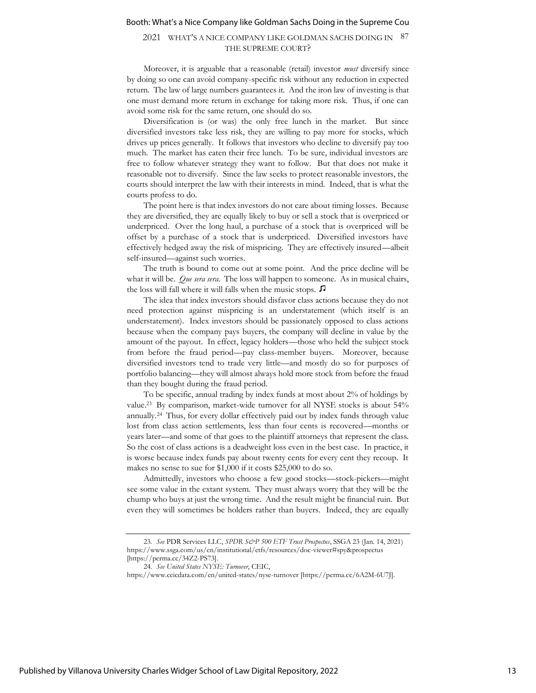# 2021 WHAT'S A NICE COMPANY LIKE GOLDMAN SACHS DOING IN 87 THE SUPREME COURT?

Moreover, it is arguable that a reasonable (retail) investor *must* diversify since by doing so one can avoid company-specific risk without any reduction in expected return. The law of large numbers guarantees it. And the iron law of investing is that one must demand more return in exchange for taking more risk. Thus, if one can avoid some risk for the same return, one should do so.

Diversification is (or was) the only free lunch in the market. But since diversified investors take less risk, they are willing to pay more for stocks, which drives up prices generally. It follows that investors who decline to diversify pay too much. The market has eaten their free lunch. To be sure, individual investors are free to follow whatever strategy they want to follow. But that does not make it reasonable not to diversify. Since the law seeks to protect reasonable investors, the courts should interpret the law with their interests in mind. Indeed, that is what the courts profess to do.

The point here is that index investors do not care about timing losses. Because they are diversified, they are equally likely to buy or sell a stock that is overpriced or underpriced. Over the long haul, a purchase of a stock that is overpriced will be offset by a purchase of a stock that is underpriced. Diversified investors have effectively hedged away the risk of mispricing. They are effectively insured—albeit self-insured—against such worries.

The truth is bound to come out at some point. And the price decline will be what it will be. *Que sera sera*. The loss will happen to someone. As in musical chairs, the loss will fall where it will falls when the music stops.  $\Box$ 

The idea that index investors should disfavor class actions because they do not need protection against mispricing is an understatement (which itself is an understatement). Index investors should be passionately opposed to class actions because when the company pays buyers, the company will decline in value by the amount of the payout. In effect, legacy holders—those who held the subject stock from before the fraud period—pay class-member buyers. Moreover, because diversified investors tend to trade very little—and mostly do so for purposes of portfolio balancing—they will almost always hold more stock from before the fraud than they bought during the fraud period.

To be specific, annual trading by index funds at most about 2% of holdings by value.<sup>23</sup> By comparison, market-wide turnover for all NYSE stocks is about 54% annually.<sup>24</sup> Thus, for every dollar effectively paid out by index funds through value lost from class action settlements, less than four cents is recovered—months or years later—and some of that goes to the plaintiff attorneys that represent the class. So the cost of class actions is a deadweight loss even in the best case. In practice, it is worse because index funds pay about twenty cents for every cent they recoup. It makes no sense to sue for \$1,000 if it costs \$25,000 to do so.

Admittedly, investors who choose a few good stocks—stock-pickers—might see some value in the extant system. They must always worry that they will be the chump who buys at just the wrong time. And the result might be financial ruin. But even they will sometimes be holders rather than buyers. Indeed, they are equally

<sup>23</sup>*. See* PDR Services LLC, *SPDR S&P 500 ETF Trust Prospectus*, SSGA 23 (Jan. 14, 2021) https://www.ssga.com/us/en/institutional/etfs/resources/doc-viewer#spy&prospectus [https://perma.cc/34Z2-PS73].

<sup>24</sup>*. See United States NYSE: Turnover*, CEIC,

https://www.ceicdata.com/en/united-states/nyse-turnover [https://perma.cc/6A2M-6U7J].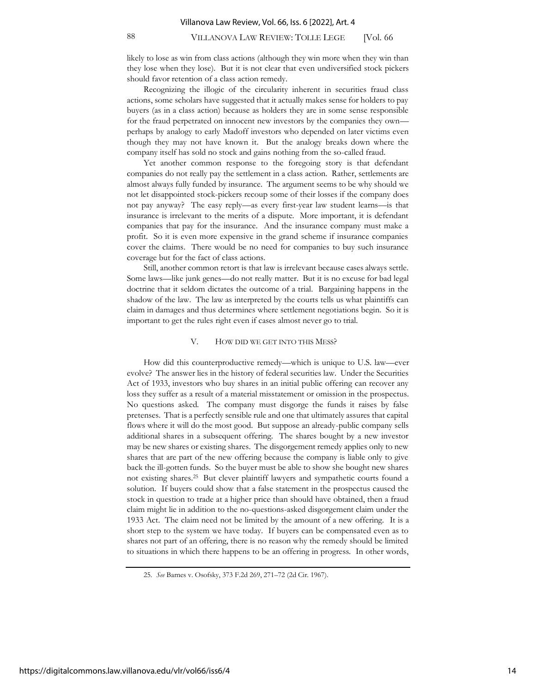likely to lose as win from class actions (although they win more when they win than they lose when they lose). But it is not clear that even undiversified stock pickers should favor retention of a class action remedy.

Recognizing the illogic of the circularity inherent in securities fraud class actions, some scholars have suggested that it actually makes sense for holders to pay buyers (as in a class action) because as holders they are in some sense responsible for the fraud perpetrated on innocent new investors by the companies they own perhaps by analogy to early Madoff investors who depended on later victims even though they may not have known it. But the analogy breaks down where the company itself has sold no stock and gains nothing from the so-called fraud.

Yet another common response to the foregoing story is that defendant companies do not really pay the settlement in a class action. Rather, settlements are almost always fully funded by insurance. The argument seems to be why should we not let disappointed stock-pickers recoup some of their losses if the company does not pay anyway? The easy reply—as every first-year law student learns—is that insurance is irrelevant to the merits of a dispute. More important, it is defendant companies that pay for the insurance. And the insurance company must make a profit. So it is even more expensive in the grand scheme if insurance companies cover the claims. There would be no need for companies to buy such insurance coverage but for the fact of class actions.

Still, another common retort is that law is irrelevant because cases always settle. Some laws—like junk genes—do not really matter. But it is no excuse for bad legal doctrine that it seldom dictates the outcome of a trial. Bargaining happens in the shadow of the law. The law as interpreted by the courts tells us what plaintiffs can claim in damages and thus determines where settlement negotiations begin. So it is important to get the rules right even if cases almost never go to trial.

#### V. HOW DID WE GET INTO THIS MESS?

How did this counterproductive remedy—which is unique to U.S. law—ever evolve? The answer lies in the history of federal securities law. Under the Securities Act of 1933, investors who buy shares in an initial public offering can recover any loss they suffer as a result of a material misstatement or omission in the prospectus. No questions asked. The company must disgorge the funds it raises by false pretenses. That is a perfectly sensible rule and one that ultimately assures that capital flows where it will do the most good. But suppose an already-public company sells additional shares in a subsequent offering. The shares bought by a new investor may be new shares or existing shares. The disgorgement remedy applies only to new shares that are part of the new offering because the company is liable only to give back the ill-gotten funds. So the buyer must be able to show she bought new shares not existing shares.<sup>25</sup> But clever plaintiff lawyers and sympathetic courts found a solution. If buyers could show that a false statement in the prospectus caused the stock in question to trade at a higher price than should have obtained, then a fraud claim might lie in addition to the no-questions-asked disgorgement claim under the 1933 Act. The claim need not be limited by the amount of a new offering. It is a short step to the system we have today. If buyers can be compensated even as to shares not part of an offering, there is no reason why the remedy should be limited to situations in which there happens to be an offering in progress. In other words,

<sup>25.</sup> *See* Barnes v. Osofsky, 373 F.2d 269, 271–72 (2d Cir. 1967).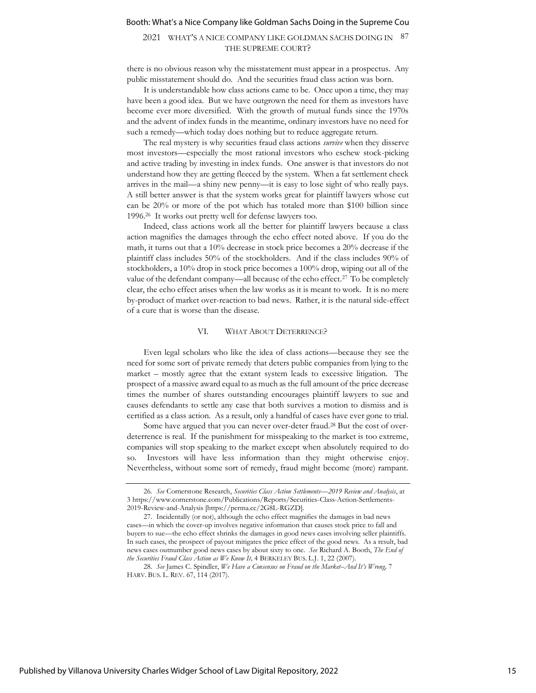# 2021 WHAT'S A NICE COMPANY LIKE GOLDMAN SACHS DOING IN 87 THE SUPREME COURT?

there is no obvious reason why the misstatement must appear in a prospectus. Any public misstatement should do. And the securities fraud class action was born.

It is understandable how class actions came to be. Once upon a time, they may have been a good idea. But we have outgrown the need for them as investors have become ever more diversified. With the growth of mutual funds since the 1970s and the advent of index funds in the meantime, ordinary investors have no need for such a remedy—which today does nothing but to reduce aggregate return.

The real mystery is why securities fraud class actions *survive* when they disserve most investors—especially the most rational investors who eschew stock-picking and active trading by investing in index funds. One answer is that investors do not understand how they are getting fleeced by the system. When a fat settlement check arrives in the mail—a shiny new penny—it is easy to lose sight of who really pays. A still better answer is that the system works great for plaintiff lawyers whose cut can be 20% or more of the pot which has totaled more than \$100 billion since 1996.<sup>26</sup> It works out pretty well for defense lawyers too.

Indeed, class actions work all the better for plaintiff lawyers because a class action magnifies the damages through the echo effect noted above. If you do the math, it turns out that a 10% decrease in stock price becomes a 20% decrease if the plaintiff class includes 50% of the stockholders. And if the class includes 90% of stockholders, a 10% drop in stock price becomes a 100% drop, wiping out all of the value of the defendant company—all because of the echo effect.<sup>27</sup> To be completely clear, the echo effect arises when the law works as it is meant to work. It is no mere by-product of market over-reaction to bad news. Rather, it is the natural side-effect of a cure that is worse than the disease.

#### VI. WHAT ABOUT DETERRENCE?

Even legal scholars who like the idea of class actions—because they see the need for some sort of private remedy that deters public companies from lying to the market – mostly agree that the extant system leads to excessive litigation. The prospect of a massive award equal to as much as the full amount of the price decrease times the number of shares outstanding encourages plaintiff lawyers to sue and causes defendants to settle any case that both survives a motion to dismiss and is certified as a class action. As a result, only a handful of cases have ever gone to trial.

Some have argued that you can never over-deter fraud.<sup>28</sup> But the cost of overdeterrence is real. If the punishment for misspeaking to the market is too extreme, companies will stop speaking to the market except when absolutely required to do so. Investors will have less information than they might otherwise enjoy. Nevertheless, without some sort of remedy, fraud might become (more) rampant.

<sup>26.</sup> *See* Cornerstone Research, *Securities Class Action Settlements—2019 Review and Analysis*, at 3 https://www.cornerstone.com/Publications/Reports/Securities-Class-Action-Settlements-2019-Review-and-Analysis [https://perma.cc/2G8L-RGZD].

<sup>27.</sup> Incidentally (or not), although the echo effect magnifies the damages in bad news cases—in which the cover-up involves negative information that causes stock price to fall and buyers to sue—the echo effect shrinks the damages in good news cases involving seller plaintiffs. In such cases, the prospect of payout mitigates the price effect of the good news. As a result, bad news cases outnumber good news cases by about sixty to one. *See* Richard A. Booth, *The End of the Securities Fraud Class Action as We Know It,* 4 BERKELEY BUS. L.J. 1, 22 (2007).

<sup>28.</sup> *See* James C. Spindler, *We Have a Consensus on Fraud on the Market–And It's Wrong,* 7 HARV. BUS. L. REV. 67, 114 (2017).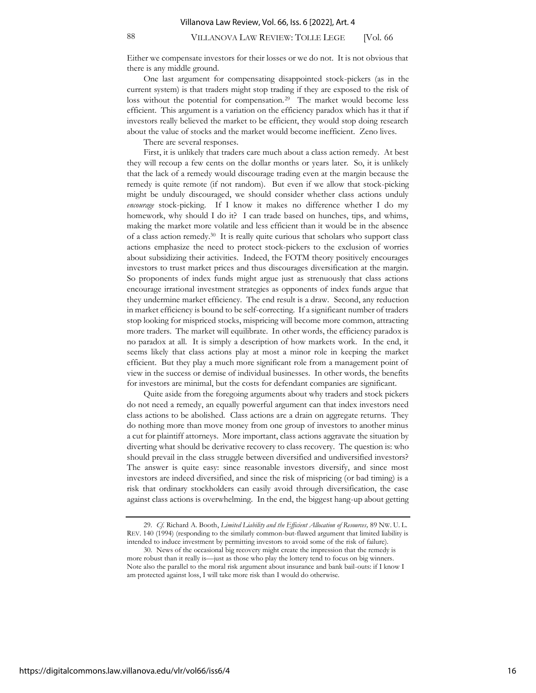Either we compensate investors for their losses or we do not. It is not obvious that there is any middle ground.

One last argument for compensating disappointed stock-pickers (as in the current system) is that traders might stop trading if they are exposed to the risk of loss without the potential for compensation.<sup>29</sup> The market would become less efficient. This argument is a variation on the efficiency paradox which has it that if investors really believed the market to be efficient, they would stop doing research about the value of stocks and the market would become inefficient. Zeno lives.

There are several responses.

First, it is unlikely that traders care much about a class action remedy. At best they will recoup a few cents on the dollar months or years later. So, it is unlikely that the lack of a remedy would discourage trading even at the margin because the remedy is quite remote (if not random). But even if we allow that stock-picking might be unduly discouraged, we should consider whether class actions unduly *encourage* stock-picking. If I know it makes no difference whether I do my homework, why should I do it? I can trade based on hunches, tips, and whims, making the market more volatile and less efficient than it would be in the absence of a class action remedy.<sup>30</sup> It is really quite curious that scholars who support class actions emphasize the need to protect stock-pickers to the exclusion of worries about subsidizing their activities. Indeed, the FOTM theory positively encourages investors to trust market prices and thus discourages diversification at the margin. So proponents of index funds might argue just as strenuously that class actions encourage irrational investment strategies as opponents of index funds argue that they undermine market efficiency. The end result is a draw. Second, any reduction in market efficiency is bound to be self-correcting. If a significant number of traders stop looking for mispriced stocks, mispricing will become more common, attracting more traders. The market will equilibrate. In other words, the efficiency paradox is no paradox at all. It is simply a description of how markets work. In the end, it seems likely that class actions play at most a minor role in keeping the market efficient. But they play a much more significant role from a management point of view in the success or demise of individual businesses. In other words, the benefits for investors are minimal, but the costs for defendant companies are significant.

Quite aside from the foregoing arguments about why traders and stock pickers do not need a remedy, an equally powerful argument can that index investors need class actions to be abolished. Class actions are a drain on aggregate returns. They do nothing more than move money from one group of investors to another minus a cut for plaintiff attorneys. More important, class actions aggravate the situation by diverting what should be derivative recovery to class recovery. The question is: who should prevail in the class struggle between diversified and undiversified investors? The answer is quite easy: since reasonable investors diversify, and since most investors are indeed diversified, and since the risk of mispricing (or bad timing) is a risk that ordinary stockholders can easily avoid through diversification, the case against class actions is overwhelming. In the end, the biggest hang-up about getting

<sup>29.</sup> *Cf.* Richard A. Booth, *Limited Liability and the Efficient Allocation of Resources,* 89 NW. U. L. REV. 140 (1994) (responding to the similarly common-but-flawed argument that limited liability is intended to induce investment by permitting investors to avoid some of the risk of failure).

<sup>30.</sup> News of the occasional big recovery might create the impression that the remedy is more robust than it really is—just as those who play the lottery tend to focus on big winners. Note also the parallel to the moral risk argument about insurance and bank bail-outs: if I know I am protected against loss, I will take more risk than I would do otherwise.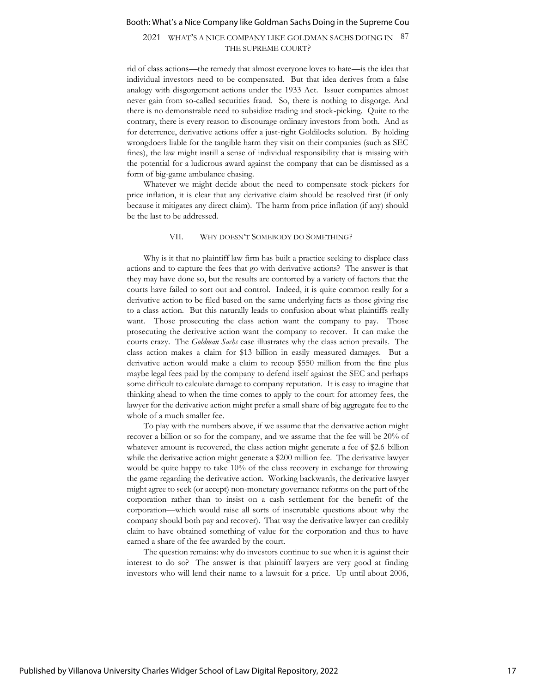# 2021 WHAT'S A NICE COMPANY LIKE GOLDMAN SACHS DOING IN 87 THE SUPREME COURT?

rid of class actions—the remedy that almost everyone loves to hate—is the idea that individual investors need to be compensated. But that idea derives from a false analogy with disgorgement actions under the 1933 Act. Issuer companies almost never gain from so-called securities fraud. So, there is nothing to disgorge. And there is no demonstrable need to subsidize trading and stock-picking. Quite to the contrary, there is every reason to discourage ordinary investors from both. And as for deterrence, derivative actions offer a just-right Goldilocks solution. By holding wrongdoers liable for the tangible harm they visit on their companies (such as SEC fines), the law might instill a sense of individual responsibility that is missing with the potential for a ludicrous award against the company that can be dismissed as a form of big-game ambulance chasing.

Whatever we might decide about the need to compensate stock-pickers for price inflation, it is clear that any derivative claim should be resolved first (if only because it mitigates any direct claim). The harm from price inflation (if any) should be the last to be addressed.

#### VII. WHY DOESN'T SOMEBODY DO SOMETHING?

Why is it that no plaintiff law firm has built a practice seeking to displace class actions and to capture the fees that go with derivative actions? The answer is that they may have done so, but the results are contorted by a variety of factors that the courts have failed to sort out and control. Indeed, it is quite common really for a derivative action to be filed based on the same underlying facts as those giving rise to a class action. But this naturally leads to confusion about what plaintiffs really want. Those prosecuting the class action want the company to pay. Those prosecuting the derivative action want the company to recover. It can make the courts crazy. The *Goldman Sachs* case illustrates why the class action prevails. The class action makes a claim for \$13 billion in easily measured damages. But a derivative action would make a claim to recoup \$550 million from the fine plus maybe legal fees paid by the company to defend itself against the SEC and perhaps some difficult to calculate damage to company reputation. It is easy to imagine that thinking ahead to when the time comes to apply to the court for attorney fees, the lawyer for the derivative action might prefer a small share of big aggregate fee to the whole of a much smaller fee.

To play with the numbers above, if we assume that the derivative action might recover a billion or so for the company, and we assume that the fee will be 20% of whatever amount is recovered, the class action might generate a fee of \$2.6 billion while the derivative action might generate a \$200 million fee. The derivative lawyer would be quite happy to take 10% of the class recovery in exchange for throwing the game regarding the derivative action. Working backwards, the derivative lawyer might agree to seek (or accept) non-monetary governance reforms on the part of the corporation rather than to insist on a cash settlement for the benefit of the corporation—which would raise all sorts of inscrutable questions about why the company should both pay and recover). That way the derivative lawyer can credibly claim to have obtained something of value for the corporation and thus to have earned a share of the fee awarded by the court.

The question remains: why do investors continue to sue when it is against their interest to do so? The answer is that plaintiff lawyers are very good at finding investors who will lend their name to a lawsuit for a price. Up until about 2006,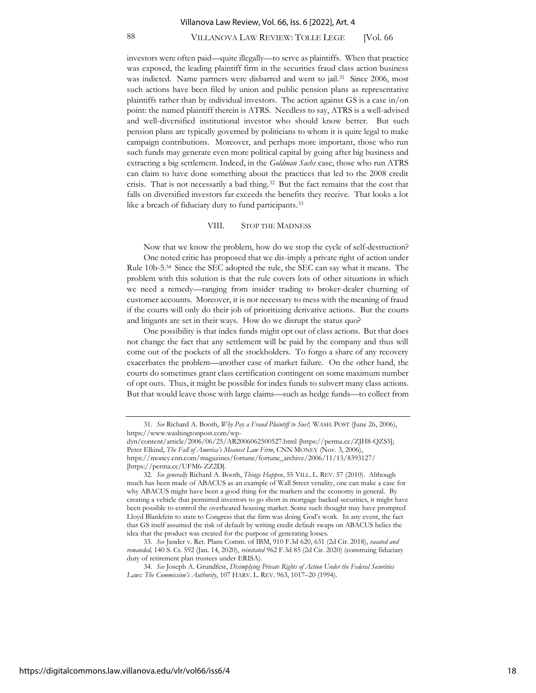investors were often paid—quite illegally—to serve as plaintiffs. When that practice was exposed, the leading plaintiff firm in the securities fraud class action business was indicted. Name partners were disbarred and went to jail.<sup>31</sup> Since 2006, most such actions have been filed by union and public pension plans as representative plaintiffs rather than by individual investors. The action against GS is a case in/on point: the named plaintiff therein is ATRS. Needless to say, ATRS is a well-advised and well-diversified institutional investor who should know better. But such pension plans are typically governed by politicians to whom it is quite legal to make campaign contributions. Moreover, and perhaps more important, those who run such funds may generate even more political capital by going after big business and extracting a big settlement. Indeed, in the *Goldman Sachs* case, those who run ATRS can claim to have done something about the practices that led to the 2008 credit crisis. That is not necessarily a bad thing.<sup>32</sup> But the fact remains that the cost that falls on diversified investors far exceeds the benefits they receive. That looks a lot like a breach of fiduciary duty to fund participants.<sup>33</sup>

#### VIII. STOP THE MADNESS

Now that we know the problem, how do we stop the cycle of self-destruction? One noted critic has proposed that we dis-imply a private right of action under Rule 10b-5.<sup>34</sup> Since the SEC adopted the rule, the SEC can say what it means. The problem with this solution is that the rule covers lots of other situations in which we need a remedy—ranging from insider trading to broker-dealer churning of customer accounts. Moreover, it is not necessary to mess with the meaning of fraud if the courts will only do their job of prioritizing derivative actions. But the courts and litigants are set in their ways. How do we disrupt the status quo?

One possibility is that index funds might opt out of class actions. But that does not change the fact that any settlement will be paid by the company and thus will come out of the pockets of all the stockholders. To forgo a share of any recovery exacerbates the problem—another case of market failure. On the other hand, the courts do sometimes grant class certification contingent on some maximum number of opt outs. Thus, it might be possible for index funds to subvert many class actions. But that would leave those with large claims—such as hedge funds—to collect from

<sup>31.</sup> *See* Richard A. Booth, *Why Pay a Fraud Plaintiff to Sue?,* WASH. POST (June 26, 2006), [https://www.washingtonpost.com/wp-](https://www.washingtonpost.com/wp-dyn/content/article/2006/06/25/AR2006062500527.html)

[dyn/content/article/2006/06/25/AR2006062500527.html](https://www.washingtonpost.com/wp-dyn/content/article/2006/06/25/AR2006062500527.html) [https://perma.cc/ZJH8-QZS5]; Peter Elkind, *The Fall of America's Meanest Law Firm*, CNN MONEY (Nov. 3, 2006), https://money.cnn.com/magazines/fortune/fortune\_archive/2006/11/13/8393127/ [https://perma.cc/UFM6-ZZ2D].

<sup>32.</sup> *See generally* Richard A. Booth, *Things Happen*, 55 VILL. L. REV. 57 (2010). Although much has been made of ABACUS as an example of Wall Street venality, one can make a case for why ABACUS might have been a good thing for the markets and the economy in general. By creating a vehicle that permitted investors to go short in mortgage backed securities, it might have been possible to control the overheated housing market. Some such thought may have prompted Lloyd Blankfein to state to Congress that the firm was doing God's work. In any event, the fact that GS itself assumed the risk of default by writing credit default swaps on ABACUS belies the idea that the product was created for the purpose of generating losses.

<sup>33.</sup> *See* Jander v. Ret. Plans Comm. of IBM, 910 F.3d 620, 631 (2d Cir. 2018), *vacated and remanded,* 140 S. Ct. 592 (Jan. 14, 2020), *reinstated* 962 F.3d 85 (2d Cir. 2020) (construing fiduciary duty of retirement plan trustees under ERISA).

<sup>34.</sup> *See* Joseph A. Grundfest, *Disimplying Private Rights of Action Under the Federal Securities Laws: The Commission's Authority*, 107 HARV. L. REV. 963, 1017–20 (1994).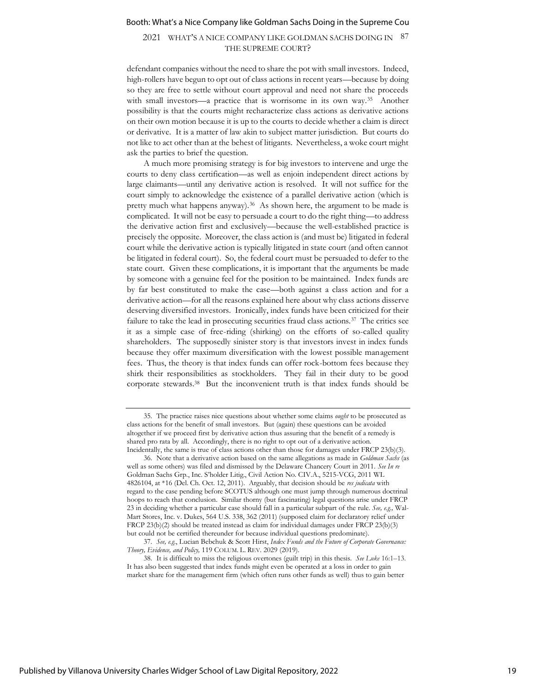# 2021 WHAT'S A NICE COMPANY LIKE GOLDMAN SACHS DOING IN 87 THE SUPREME COURT?

defendant companies without the need to share the pot with small investors. Indeed, high-rollers have begun to opt out of class actions in recent years—because by doing so they are free to settle without court approval and need not share the proceeds with small investors—a practice that is worrisome in its own way.<sup>35</sup> Another possibility is that the courts might recharacterize class actions as derivative actions on their own motion because it is up to the courts to decide whether a claim is direct or derivative. It is a matter of law akin to subject matter jurisdiction. But courts do not like to act other than at the behest of litigants. Nevertheless, a woke court might ask the parties to brief the question.

A much more promising strategy is for big investors to intervene and urge the courts to deny class certification—as well as enjoin independent direct actions by large claimants—until any derivative action is resolved. It will not suffice for the court simply to acknowledge the existence of a parallel derivative action (which is pretty much what happens anyway).<sup>36</sup> As shown here, the argument to be made is complicated. It will not be easy to persuade a court to do the right thing—to address the derivative action first and exclusively—because the well-established practice is precisely the opposite. Moreover, the class action is (and must be) litigated in federal court while the derivative action is typically litigated in state court (and often cannot be litigated in federal court). So, the federal court must be persuaded to defer to the state court. Given these complications, it is important that the arguments be made by someone with a genuine feel for the position to be maintained. Index funds are by far best constituted to make the case—both against a class action and for a derivative action—for all the reasons explained here about why class actions disserve deserving diversified investors. Ironically, index funds have been criticized for their failure to take the lead in prosecuting securities fraud class actions.<sup>37</sup> The critics see it as a simple case of free-riding (shirking) on the efforts of so-called quality shareholders. The supposedly sinister story is that investors invest in index funds because they offer maximum diversification with the lowest possible management fees. Thus, the theory is that index funds can offer rock-bottom fees because they shirk their responsibilities as stockholders. They fail in their duty to be good corporate stewards.<sup>38</sup> But the inconvenient truth is that index funds should be

<sup>35.</sup> The practice raises nice questions about whether some claims *ought* to be prosecuted as class actions for the benefit of small investors. But (again) these questions can be avoided altogether if we proceed first by derivative action thus assuring that the benefit of a remedy is shared pro rata by all. Accordingly, there is no right to opt out of a derivative action. Incidentally, the same is true of class actions other than those for damages under FRCP 23(b)(3).

<sup>36.</sup> Note that a derivative action based on the same allegations as made in *Goldman Sachs* (as well as some others) was filed and dismissed by the Delaware Chancery Court in 2011. *See In re* Goldman Sachs Grp., Inc. S'holder Litig., Civil Action No. CIV.A., 5215-VCG, 2011 WL 4826104, at \*16 (Del. Ch. Oct. 12, 2011). Arguably, that decision should be *res judicata* with regard to the case pending before SCOTUS although one must jump through numerous doctrinal hoops to reach that conclusion. Similar thorny (but fascinating) legal questions arise under FRCP 23 in deciding whether a particular case should fall in a particular subpart of the rule. *See, e.g.,* Wal-Mart Stores, Inc. v. Dukes, 564 U.S. 338, 362 (2011) (supposed claim for declaratory relief under FRCP 23(b)(2) should be treated instead as claim for individual damages under FRCP 23(b)(3) but could not be certified thereunder for because individual questions predominate).

<sup>37.</sup> *See, e.g.*, Lucian Bebchuk & Scott Hirst, *Index Funds and the Future of Corporate Governance: Theory, Evidence, and Policy,* 119 COLUM. L. REV. 2029 (2019).

<sup>38.</sup> It is difficult to miss the religious overtones (guilt trip) in this thesis. *See Luke* 16:1–13. It has also been suggested that index funds might even be operated at a loss in order to gain market share for the management firm (which often runs other funds as well) thus to gain better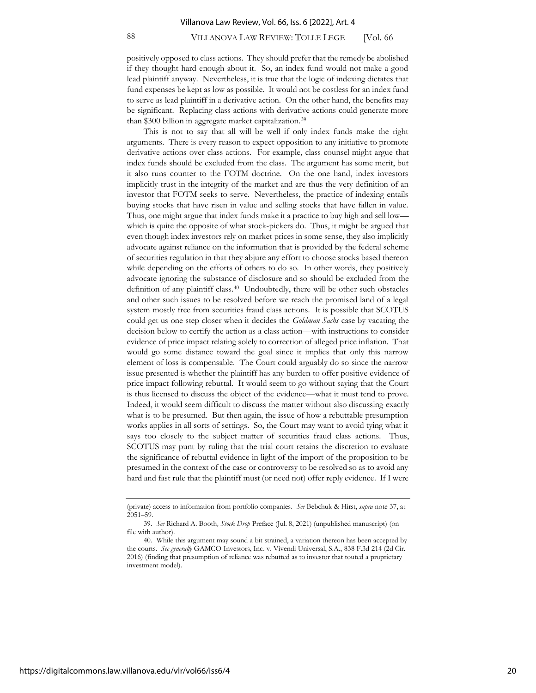positively opposed to class actions. They should prefer that the remedy be abolished if they thought hard enough about it. So, an index fund would not make a good lead plaintiff anyway. Nevertheless, it is true that the logic of indexing dictates that fund expenses be kept as low as possible. It would not be costless for an index fund to serve as lead plaintiff in a derivative action. On the other hand, the benefits may be significant. Replacing class actions with derivative actions could generate more than \$300 billion in aggregate market capitalization.<sup>39</sup>

This is not to say that all will be well if only index funds make the right arguments. There is every reason to expect opposition to any initiative to promote derivative actions over class actions. For example, class counsel might argue that index funds should be excluded from the class. The argument has some merit, but it also runs counter to the FOTM doctrine. On the one hand, index investors implicitly trust in the integrity of the market and are thus the very definition of an investor that FOTM seeks to serve. Nevertheless, the practice of indexing entails buying stocks that have risen in value and selling stocks that have fallen in value. Thus, one might argue that index funds make it a practice to buy high and sell low which is quite the opposite of what stock-pickers do. Thus, it might be argued that even though index investors rely on market prices in some sense, they also implicitly advocate against reliance on the information that is provided by the federal scheme of securities regulation in that they abjure any effort to choose stocks based thereon while depending on the efforts of others to do so. In other words, they positively advocate ignoring the substance of disclosure and so should be excluded from the definition of any plaintiff class.<sup>40</sup> Undoubtedly, there will be other such obstacles and other such issues to be resolved before we reach the promised land of a legal system mostly free from securities fraud class actions. It is possible that SCOTUS could get us one step closer when it decides the *Goldman Sachs* case by vacating the decision below to certify the action as a class action—with instructions to consider evidence of price impact relating solely to correction of alleged price inflation. That would go some distance toward the goal since it implies that only this narrow element of loss is compensable. The Court could arguably do so since the narrow issue presented is whether the plaintiff has any burden to offer positive evidence of price impact following rebuttal. It would seem to go without saying that the Court is thus licensed to discuss the object of the evidence—what it must tend to prove. Indeed, it would seem difficult to discuss the matter without also discussing exactly what is to be presumed. But then again, the issue of how a rebuttable presumption works applies in all sorts of settings. So, the Court may want to avoid tying what it says too closely to the subject matter of securities fraud class actions. Thus, SCOTUS may punt by ruling that the trial court retains the discretion to evaluate the significance of rebuttal evidence in light of the import of the proposition to be presumed in the context of the case or controversy to be resolved so as to avoid any hard and fast rule that the plaintiff must (or need not) offer reply evidence. If I were

<sup>(</sup>private) access to information from portfolio companies. *See* Bebchuk & Hirst, *supra* note 37, at 2051–59.

<sup>39.</sup> *See* Richard A. Booth*, Stock Drop* Preface (Jul. 8, 2021) (unpublished manuscript) (on file with author).

<sup>40.</sup> While this argument may sound a bit strained, a variation thereon has been accepted by the courts. *See generally* GAMCO Investors, Inc. v. Vivendi Universal, S.A., 838 F.3d 214 (2d Cir. 2016) (finding that presumption of reliance was rebutted as to investor that touted a proprietary investment model).